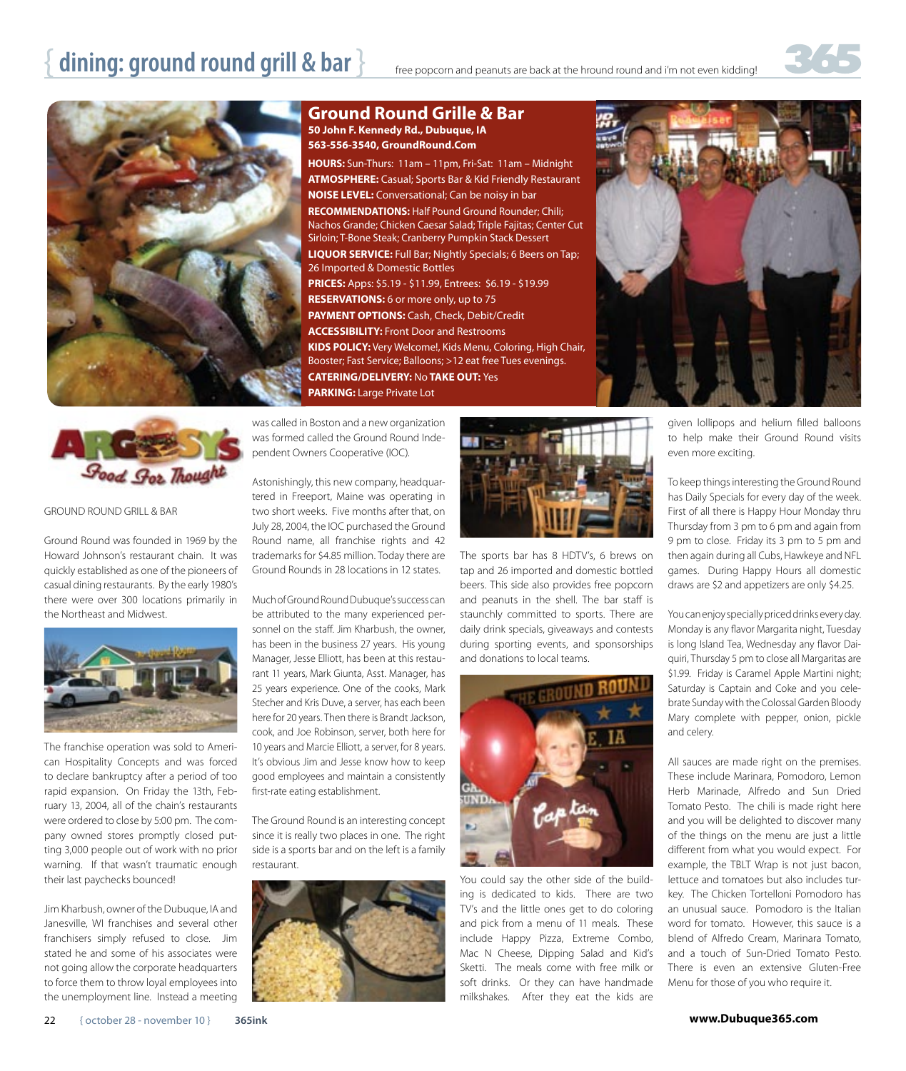## **dining: ground round grill & bar**  $\}$  free popcorn and peanuts are back at the hround round and i'm not even kidding!



### **Ground Round Grille & Bar 50 John F. Kennedy Rd., Dubuque, IA 563-556-3540, GroundRound.Com**

**HOURS:** Sun-Thurs: 11am – 11pm, Fri-Sat: 11am – Midnight **ATMOSPHERE:** Casual; Sports Bar & Kid Friendly Restaurant **NOISE LEVEL:** Conversational; Can be noisy in bar **RECOMMENDATIONS:** Half Pound Ground Rounder; Chili; Nachos Grande; Chicken Caesar Salad; Triple Fajitas; Center Cut Sirloin; T-Bone Steak; Cranberry Pumpkin Stack Dessert **LIQUOR SERVICE:** Full Bar; Nightly Specials; 6 Beers on Tap; 26 Imported & Domestic Bottles **PRICES:** Apps: \$5.19 - \$11.99, Entrees: \$6.19 - \$19.99 **RESERVATIONS:** 6 or more only, up to 75 **PAYMENT OPTIONS:** Cash, Check, Debit/Credit **ACCESSIBILITY:** Front Door and Restrooms **KIDS POLICY:** Very Welcome!, Kids Menu, Coloring, High Chair, Booster; Fast Service; Balloons; >12 eat free Tues evenings. **CATERING/DELIVERY:** No **TAKE OUT:** Yes **PARKING:** Large Private Lot





#### GROUND ROUND GRILL & BAR

Ground Round was founded in 1969 by the Howard Johnson's restaurant chain. It was quickly established as one of the pioneers of casual dining restaurants. By the early 1980's there were over 300 locations primarily in the Northeast and Midwest.



The franchise operation was sold to American Hospitality Concepts and was forced to declare bankruptcy after a period of too rapid expansion. On Friday the 13th, February 13, 2004, all of the chain's restaurants were ordered to close by 5:00 pm. The company owned stores promptly closed putting 3,000 people out of work with no prior warning. If that wasn't traumatic enough their last paychecks bounced!

Jim Kharbush, owner of the Dubuque, IA and Janesville, WI franchises and several other franchisers simply refused to close. Jim stated he and some of his associates were not going allow the corporate headquarters to force them to throw loyal employees into the unemployment line. Instead a meeting

was called in Boston and a new organization was formed called the Ground Round Independent Owners Cooperative (IOC).

Astonishingly, this new company, headquartered in Freeport, Maine was operating in two short weeks. Five months after that, on July 28, 2004, the IOC purchased the Ground Round name, all franchise rights and 42 trademarks for \$4.85 million. Today there are Ground Rounds in 28 locations in 12 states.

Much of Ground Round Dubuque's success can be attributed to the many experienced personnel on the staff. Jim Kharbush, the owner, has been in the business 27 years. His young Manager, Jesse Elliott, has been at this restaurant 11 years, Mark Giunta, Asst. Manager, has 25 years experience. One of the cooks, Mark Stecher and Kris Duve, a server, has each been here for 20 years. Then there is Brandt Jackson, cook, and Joe Robinson, server, both here for 10 years and Marcie Elliott, a server, for 8 years. It's obvious Jim and Jesse know how to keep good employees and maintain a consistently first-rate eating establishment.

The Ground Round is an interesting concept since it is really two places in one. The right side is a sports bar and on the left is a family restaurant.





The sports bar has 8 HDTV's, 6 brews on tap and 26 imported and domestic bottled beers. This side also provides free popcorn and peanuts in the shell. The bar staff is staunchly committed to sports. There are daily drink specials, giveaways and contests during sporting events, and sponsorships and donations to local teams.



You could say the other side of the building is dedicated to kids. There are two TV's and the little ones get to do coloring and pick from a menu of 11 meals. These include Happy Pizza, Extreme Combo, Mac N Cheese, Dipping Salad and Kid's Sketti. The meals come with free milk or soft drinks. Or they can have handmade milkshakes. After they eat the kids are

given lollipops and helium filled balloons to help make their Ground Round visits even more exciting.

To keep things interesting the Ground Round has Daily Specials for every day of the week. First of all there is Happy Hour Monday thru Thursday from 3 pm to 6 pm and again from 9 pm to close. Friday its 3 pm to 5 pm and then again during all Cubs, Hawkeye and NFL games. During Happy Hours all domestic draws are \$2 and appetizers are only \$4.25.

You can enjoy specially priced drinks every day. Monday is any flavor Margarita night, Tuesday is long Island Tea, Wednesday any flavor Daiquiri, Thursday 5 pm to close all Margaritas are \$1.99. Friday is Caramel Apple Martini night; Saturday is Captain and Coke and you celebrate Sunday with the Colossal Garden Bloody Mary complete with pepper, onion, pickle and celery.

All sauces are made right on the premises. These include Marinara, Pomodoro, Lemon Herb Marinade, Alfredo and Sun Dried Tomato Pesto. The chili is made right here and you will be delighted to discover many of the things on the menu are just a little different from what you would expect. For example, the TBLT Wrap is not just bacon, lettuce and tomatoes but also includes turkey. The Chicken Tortelloni Pomodoro has an unusual sauce. Pomodoro is the Italian word for tomato. However, this sauce is a blend of Alfredo Cream, Marinara Tomato, and a touch of Sun-Dried Tomato Pesto. There is even an extensive Gluten-Free Menu for those of you who require it.